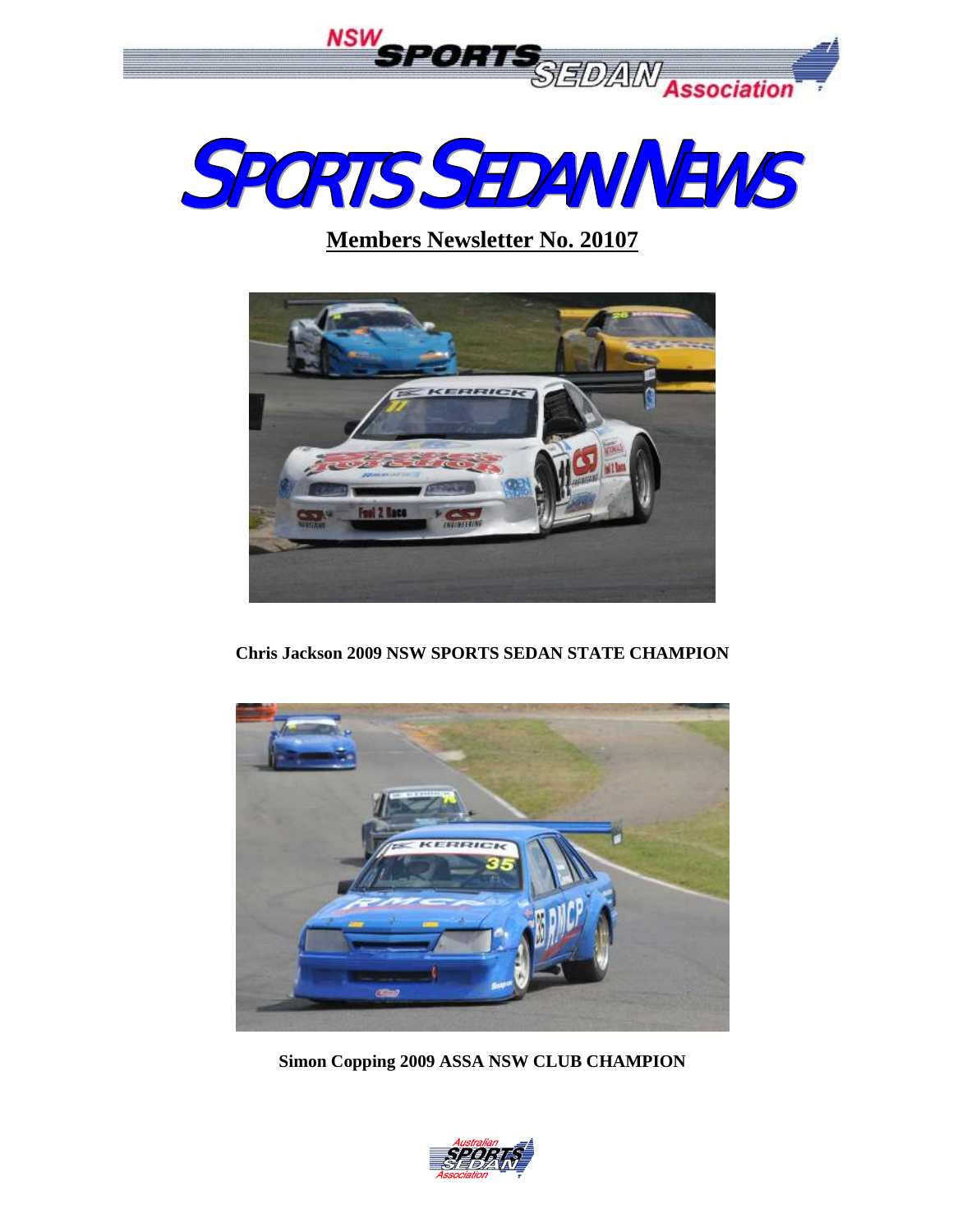



**Members Newsletter No. 20107**



**Chris Jackson 2009 NSW SPORTS SEDAN STATE CHAMPION** 



**Simon Copping 2009 ASSA NSW CLUB CHAMPION** 

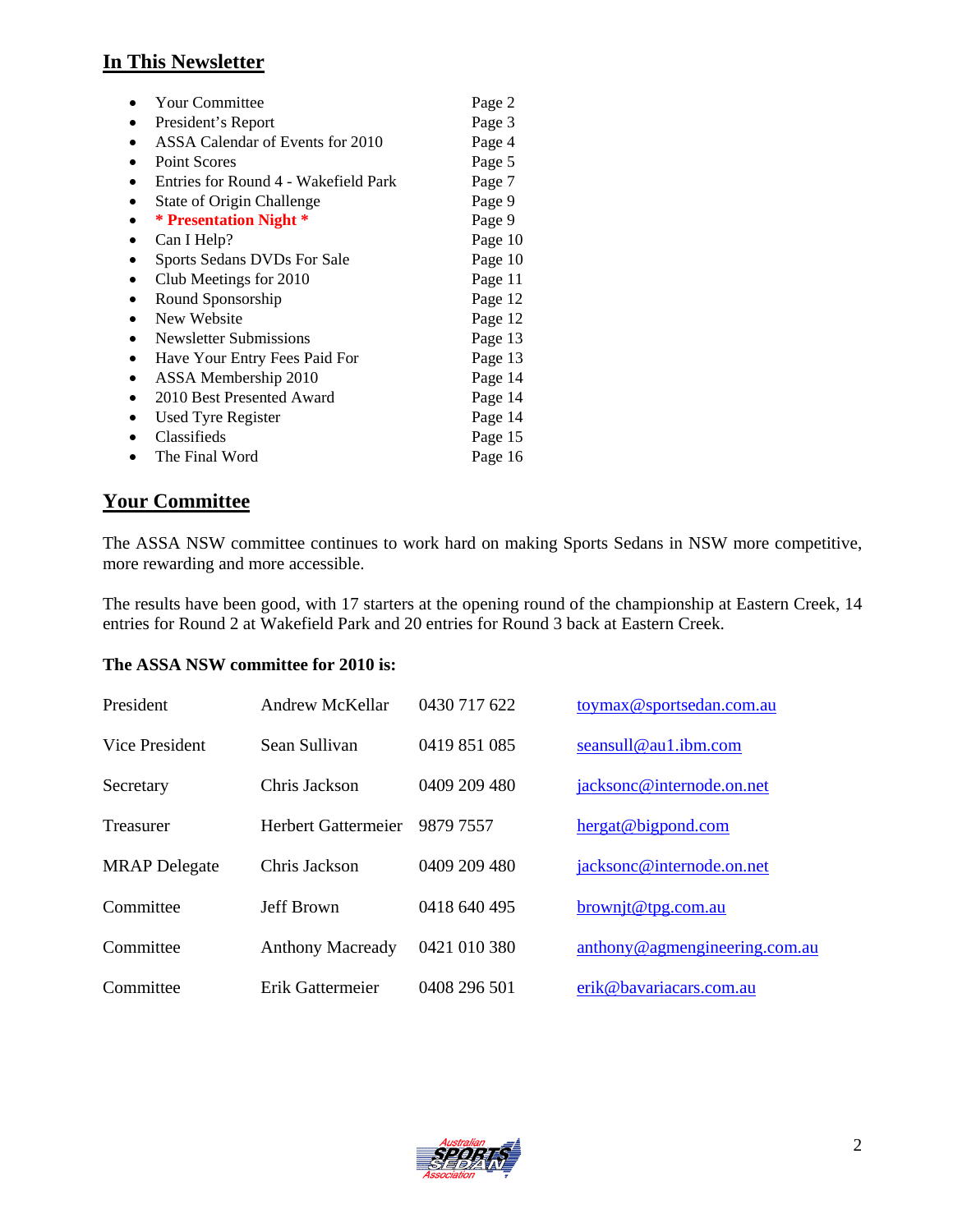# **In This Newsletter**

| <b>Your Committee</b>                | Page 2  |
|--------------------------------------|---------|
| President's Report                   | Page 3  |
| ASSA Calendar of Events for 2010     | Page 4  |
| <b>Point Scores</b>                  | Page 5  |
| Entries for Round 4 - Wakefield Park | Page 7  |
| <b>State of Origin Challenge</b>     | Page 9  |
| * Presentation Night *               | Page 9  |
| Can I Help?                          | Page 10 |
| Sports Sedans DVDs For Sale          | Page 10 |
| Club Meetings for 2010               | Page 11 |
| Round Sponsorship                    | Page 12 |
| New Website                          | Page 12 |
| <b>Newsletter Submissions</b>        | Page 13 |
| Have Your Entry Fees Paid For        | Page 13 |
| ASSA Membership 2010                 | Page 14 |
| 2010 Best Presented Award            | Page 14 |
| <b>Used Tyre Register</b>            | Page 14 |
| Classifieds                          | Page 15 |
| The Final Word                       | Page 16 |

#### **Your Committee**

The ASSA NSW committee continues to work hard on making Sports Sedans in NSW more competitive, more rewarding and more accessible.

The results have been good, with 17 starters at the opening round of the championship at Eastern Creek, 14 entries for Round 2 at Wakefield Park and 20 entries for Round 3 back at Eastern Creek.

#### **The ASSA NSW committee for 2010 is:**

| President            | Andrew McKellar         | 0430 717 622 | toymax@sportsedan.com.au      |
|----------------------|-------------------------|--------------|-------------------------------|
| Vice President       | Sean Sullivan           | 0419 851 085 | seansull@au1.ibm.com          |
| Secretary            | Chris Jackson           | 0409 209 480 | jacksonc@internode.on.net     |
| Treasurer            | Herbert Gattermeier     | 9879 7557    | hergat@bigpond.com            |
| <b>MRAP</b> Delegate | Chris Jackson           | 0409 209 480 | jacksonc@internode.on.net     |
| Committee            | Jeff Brown              | 0418 640 495 | $brown$ jt@tpg.com.au         |
| Committee            | <b>Anthony Macready</b> | 0421 010 380 | anthony@agmengineering.com.au |
| Committee            | Erik Gattermeier        | 0408 296 501 | erik@bavariacars.com.au       |

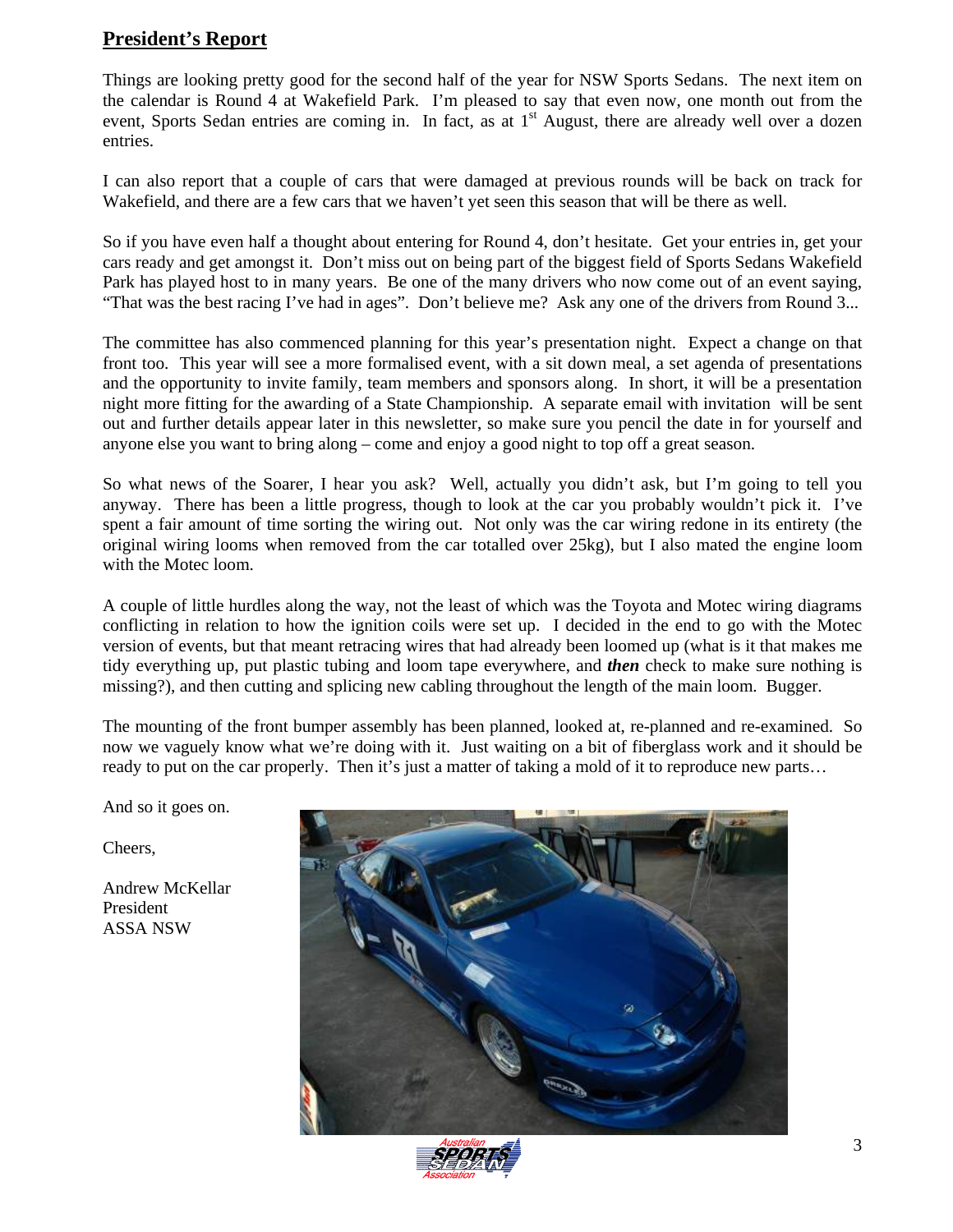#### **President's Report**

Things are looking pretty good for the second half of the year for NSW Sports Sedans. The next item on the calendar is Round 4 at Wakefield Park. I'm pleased to say that even now, one month out from the event, Sports Sedan entries are coming in. In fact, as at 1<sup>st</sup> August, there are already well over a dozen entries.

I can also report that a couple of cars that were damaged at previous rounds will be back on track for Wakefield, and there are a few cars that we haven't yet seen this season that will be there as well.

So if you have even half a thought about entering for Round 4, don't hesitate. Get your entries in, get your cars ready and get amongst it. Don't miss out on being part of the biggest field of Sports Sedans Wakefield Park has played host to in many years. Be one of the many drivers who now come out of an event saying, "That was the best racing I've had in ages". Don't believe me? Ask any one of the drivers from Round 3...

The committee has also commenced planning for this year's presentation night. Expect a change on that front too. This year will see a more formalised event, with a sit down meal, a set agenda of presentations and the opportunity to invite family, team members and sponsors along. In short, it will be a presentation night more fitting for the awarding of a State Championship. A separate email with invitation will be sent out and further details appear later in this newsletter, so make sure you pencil the date in for yourself and anyone else you want to bring along – come and enjoy a good night to top off a great season.

So what news of the Soarer, I hear you ask? Well, actually you didn't ask, but I'm going to tell you anyway. There has been a little progress, though to look at the car you probably wouldn't pick it. I've spent a fair amount of time sorting the wiring out. Not only was the car wiring redone in its entirety (the original wiring looms when removed from the car totalled over 25kg), but I also mated the engine loom with the Motec loom.

A couple of little hurdles along the way, not the least of which was the Toyota and Motec wiring diagrams conflicting in relation to how the ignition coils were set up. I decided in the end to go with the Motec version of events, but that meant retracing wires that had already been loomed up (what is it that makes me tidy everything up, put plastic tubing and loom tape everywhere, and *then* check to make sure nothing is missing?), and then cutting and splicing new cabling throughout the length of the main loom. Bugger.

The mounting of the front bumper assembly has been planned, looked at, re-planned and re-examined. So now we vaguely know what we're doing with it. Just waiting on a bit of fiberglass work and it should be ready to put on the car properly. Then it's just a matter of taking a mold of it to reproduce new parts...

And so it goes on.

Cheers,

Andrew McKellar President ASSA NSW



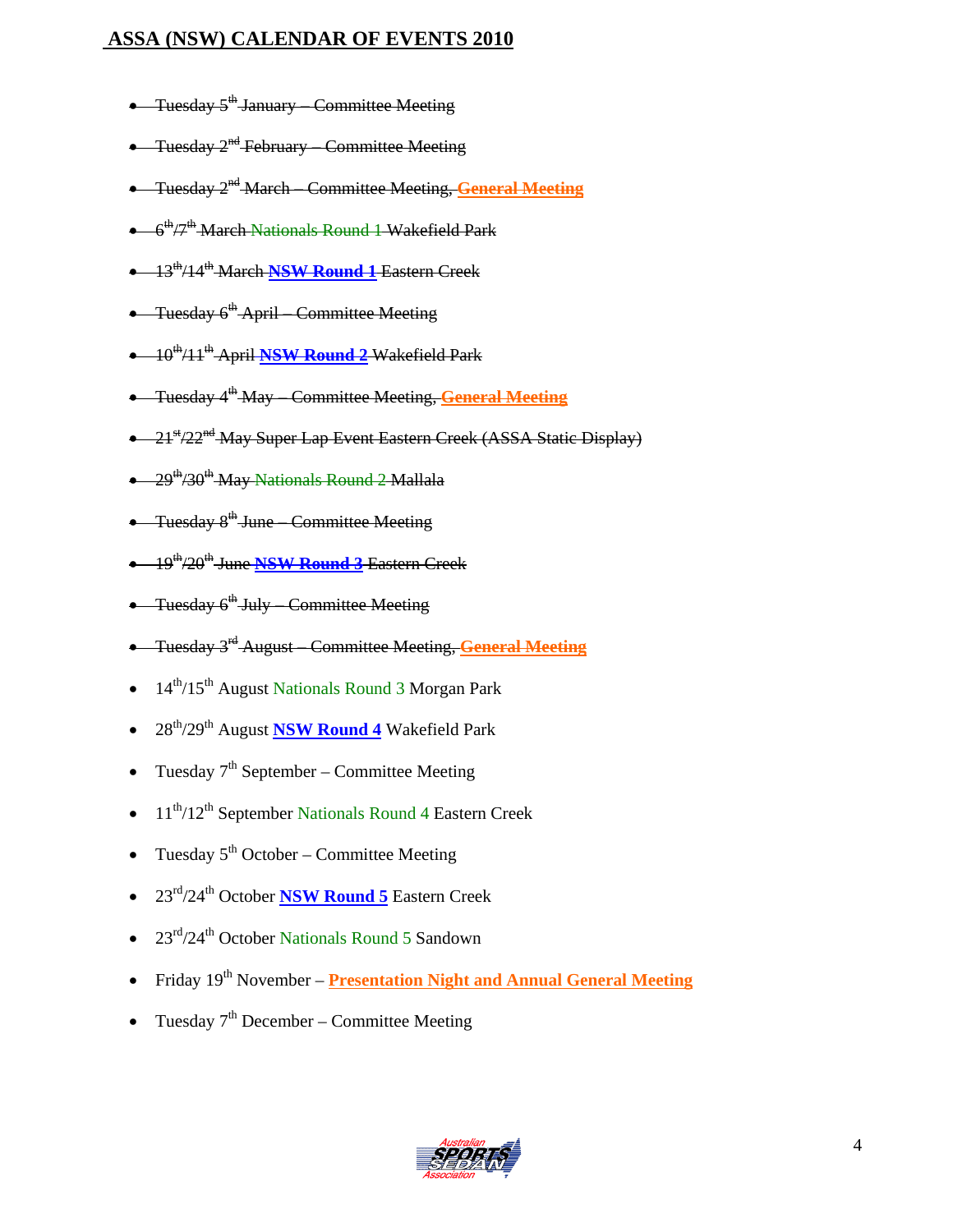# **ASSA (NSW) CALENDAR OF EVENTS 2010**

- Tuesday  $5^{\text{th}}$  January Committee Meeting
- Tuesday 2<sup>nd</sup> February Committee Meeting
- Tuesday 2nd March Committee Meeting, **General Meeting**
- $\bullet$  6<sup>th</sup>/7<sup>th</sup> March Nationals Round 1 Wakefield Park
- 13th/14th March **NSW Round 1** Eastern Creek
- Tuesday 6<sup>th</sup> April Committee Meeting
- 10th/11th April **NSW Round 2** Wakefield Park
- Tuesday 4th May Committee Meeting, **General Meeting**
- 21<sup>st</sup>/22<sup>nd</sup> May Super Lap Event Eastern Creek (ASSA Static Display)
- $\bullet$  29<sup>th</sup>/30<sup>th</sup> May Nationals Round 2 Mallala
- Tuesday 8<sup>th</sup> June Committee Meeting
- 19th/20th June **NSW Round 3** Eastern Creek
- Tuesday  $6^{\text{th}}$  July Committee Meeting
- Tuesday 3rd August Committee Meeting, **General Meeting**
- 14<sup>th</sup>/15<sup>th</sup> August Nationals Round 3 Morgan Park
- 28th/29th August **NSW Round 4** Wakefield Park
- Tuesday  $7<sup>th</sup>$  September Committee Meeting
- 11<sup>th</sup>/12<sup>th</sup> September Nationals Round 4 Eastern Creek
- Tuesday  $5<sup>th</sup> October Committee Meeting$
- 23rd/24th October **NSW Round 5** Eastern Creek
- $23<sup>rd</sup>/24<sup>th</sup>$  October Nationals Round 5 Sandown
- Friday 19<sup>th</sup> November **Presentation Night and Annual General Meeting**
- Tuesday  $7<sup>th</sup>$  December Committee Meeting

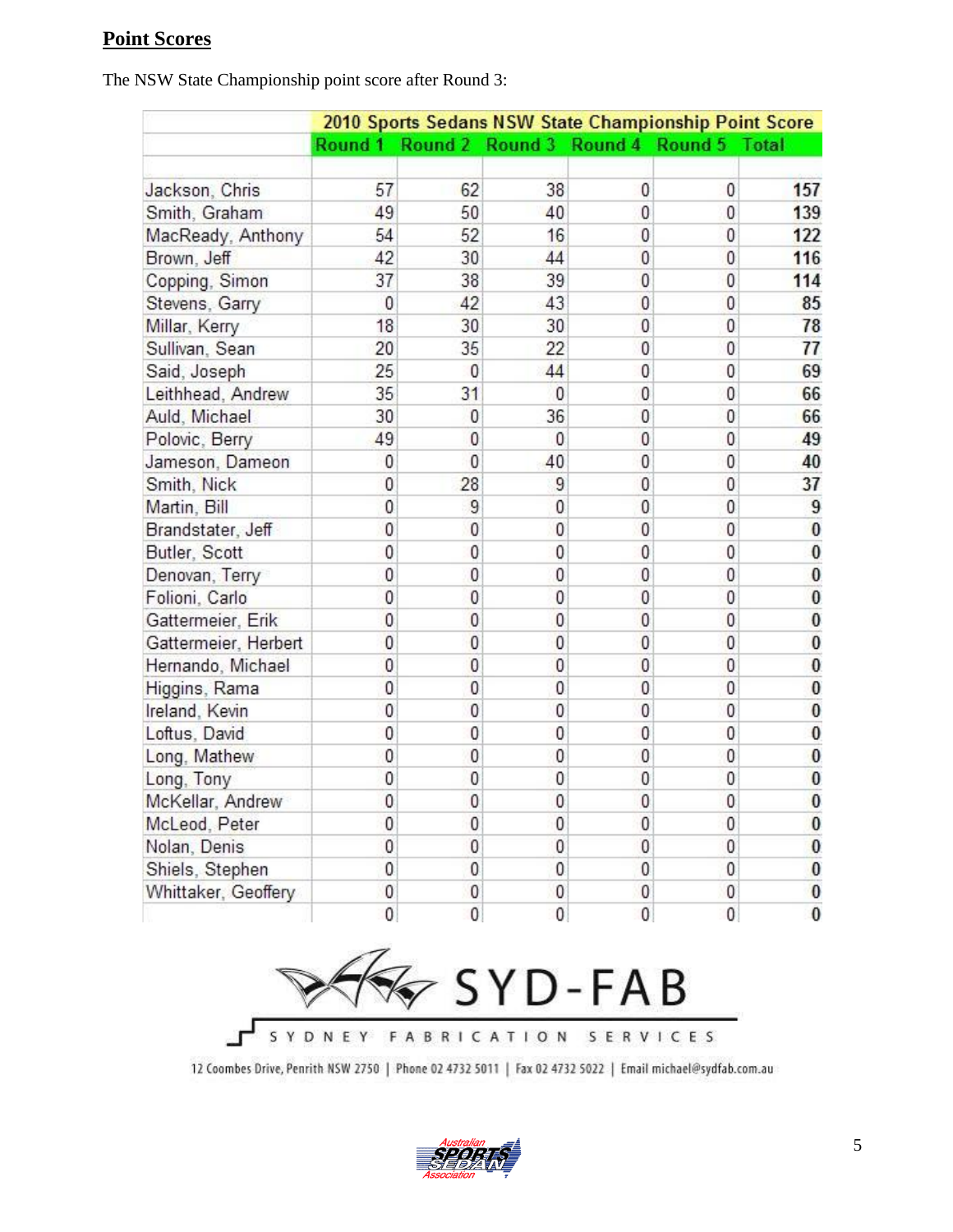### **Point Scores**

The NSW State Championship point score after Round 3:

|                      | 2010 Sports Sedans NSW State Championship Point Score |              |                                 |                |                |              |
|----------------------|-------------------------------------------------------|--------------|---------------------------------|----------------|----------------|--------------|
|                      | Round 1                                               |              | Round 2 Round 3 Round 4 Round 5 |                |                | <b>Total</b> |
| Jackson, Chris       | 57                                                    | 62           | 38                              | 0              | 0              | 157          |
| Smith, Graham        | 49                                                    | 50           | 40                              | 0              | 0              | 139          |
| MacReady, Anthony    | 54                                                    | 52           | 16                              | 0              | 0              | 122          |
| Brown, Jeff          | 42                                                    | 30           | 44                              | 0              | $\theta$       | 116          |
| Copping, Simon       | 37                                                    | 38           | 39                              | $\bf{0}$       | $\overline{0}$ | 114          |
| Stevens, Garry       | $\theta$                                              | 42           | 43                              | 0              | $\theta$       | 85           |
| Millar, Kerry        | 18                                                    | 30           | 30                              | $\mathbf{0}$   | $\mathbf 0$    | 78           |
| Sullivan, Sean       | 20                                                    | 35           | 22                              | 0              | 0              | 77           |
| Said, Joseph         | 25                                                    | 0            | 44                              | 0              | 0              | 69           |
| Leithhead, Andrew    | 35                                                    | 31           | $\overline{0}$                  | 0              | 0              | 66           |
| Auld, Michael        | 30                                                    | 0            | 36                              | 0              | 0              | 66           |
| Polovic, Berry       | 49                                                    | $\theta$     | $\theta$                        | 0              | 0              | 49           |
| Jameson, Dameon      | 0                                                     | 0            | 40                              | 0              | 0              | 40           |
| Smith, Nick          | 0                                                     | 28           | 9                               | 0              | 0              | 37           |
| Martin, Bill         | 0                                                     | 9            | 0                               | 0              | 0              | 9            |
| Brandstater, Jeff    | 0                                                     | 0            | 0                               | 0              | 0              | $\bf{0}$     |
| Butler, Scott        | 0                                                     | 0            | 0                               | 0              | 0              | $\bf{0}$     |
| Denovan, Terry       | 0                                                     | 0            | 0                               | 0              | 0              | $\bf{0}$     |
| Folioni, Carlo       | 0                                                     | 0            | 0                               | 0              | 0              | $\bf{0}$     |
| Gattermeier, Erik    | $\theta$                                              | $\mathbf{0}$ | $\theta$                        | $\overline{0}$ | $\bf{0}$       | $\bf{0}$     |
| Gattermeier, Herbert | $\bf{0}$                                              | 0            | $\mathbf{0}$                    | $\bf{0}$       | $\overline{0}$ | $\bf{0}$     |
| Hernando, Michael    | $\theta$                                              | $\bf{0}$     | $\theta$                        | $\bf{0}$       | $\theta$       | $\bf{0}$     |
| Higgins, Rama        | 0                                                     | $\bf{0}$     | $\mathbf{0}$                    | 0              | $\overline{0}$ | $\bf{0}$     |
| Ireland, Kevin       | $\mathbf{0}$                                          | 0            | $\mathbf{0}$                    | 0              | 0              | 0            |
| Loftus, David        | 0                                                     | 0            | 0                               | 0              | 0              | $\bf{0}$     |
| Long, Mathew         | 0                                                     | 0            | 0                               | 0              | 0              | $\bf{0}$     |
| Long, Tony           | 0                                                     | 0            | 0                               | 0              | 0              | $\bf{0}$     |
| McKellar, Andrew     | 0                                                     | $\pmb{0}$    | $\mathbf{0}$                    | 0              | $\pmb{0}$      | $\bf{0}$     |
| McLeod, Peter        | 0                                                     | 0            | 0                               | 0              | 0              | 0            |
| Nolan, Denis         | 0                                                     | 0            | 0                               | 0              | 0              | $\bf{0}$     |
| Shiels, Stephen      | 0                                                     | 0            | 0                               | 0              | 0              | $\bf{0}$     |
| Whittaker, Geoffery  | $\mathbf{0}$                                          | $\mathbf{0}$ | 0                               | 0              | 0              | $\bf{0}$     |
|                      | 0                                                     | $\mathbf{0}$ | $\mathbf{0}$                    | 0              | 0              | 0            |



12 Coombes Drive, Penrith NSW 2750 | Phone 02 4732 5011 | Fax 02 4732 5022 | Email michael@sydfab.com.au

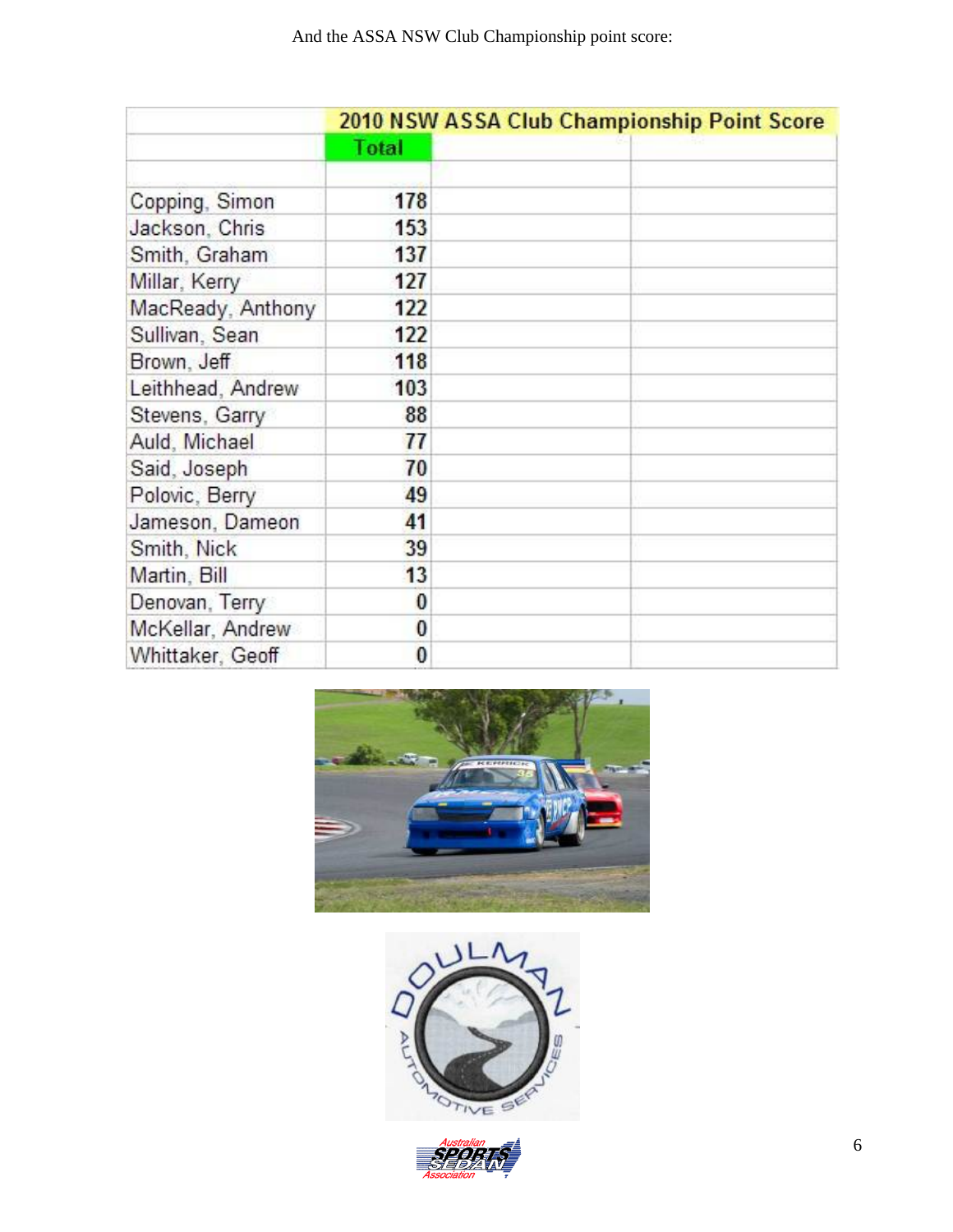|                   | 2010 NSW ASSA Club Championship Point Score |  |  |  |
|-------------------|---------------------------------------------|--|--|--|
|                   | Total                                       |  |  |  |
| Copping, Simon    | 178                                         |  |  |  |
| Jackson, Chris    | 153                                         |  |  |  |
| Smith, Graham     | 137                                         |  |  |  |
| Millar, Kerry     | 127                                         |  |  |  |
| MacReady, Anthony | 122                                         |  |  |  |
| Sullivan, Sean    | 122                                         |  |  |  |
| Brown, Jeff       | 118                                         |  |  |  |
| Leithhead, Andrew | 103                                         |  |  |  |
| Stevens, Garry    | 88                                          |  |  |  |
| Auld, Michael     | 77                                          |  |  |  |
| Said, Joseph      | 70                                          |  |  |  |
| Polovic, Berry    | 49                                          |  |  |  |
| Jameson, Dameon   | 41                                          |  |  |  |
| Smith, Nick       | 39                                          |  |  |  |
| Martin, Bill      | 13                                          |  |  |  |
| Denovan, Terry    | 0                                           |  |  |  |
| McKellar, Andrew  | $\bf{0}$                                    |  |  |  |
| Whittaker, Geoff  | $\bf{0}$                                    |  |  |  |





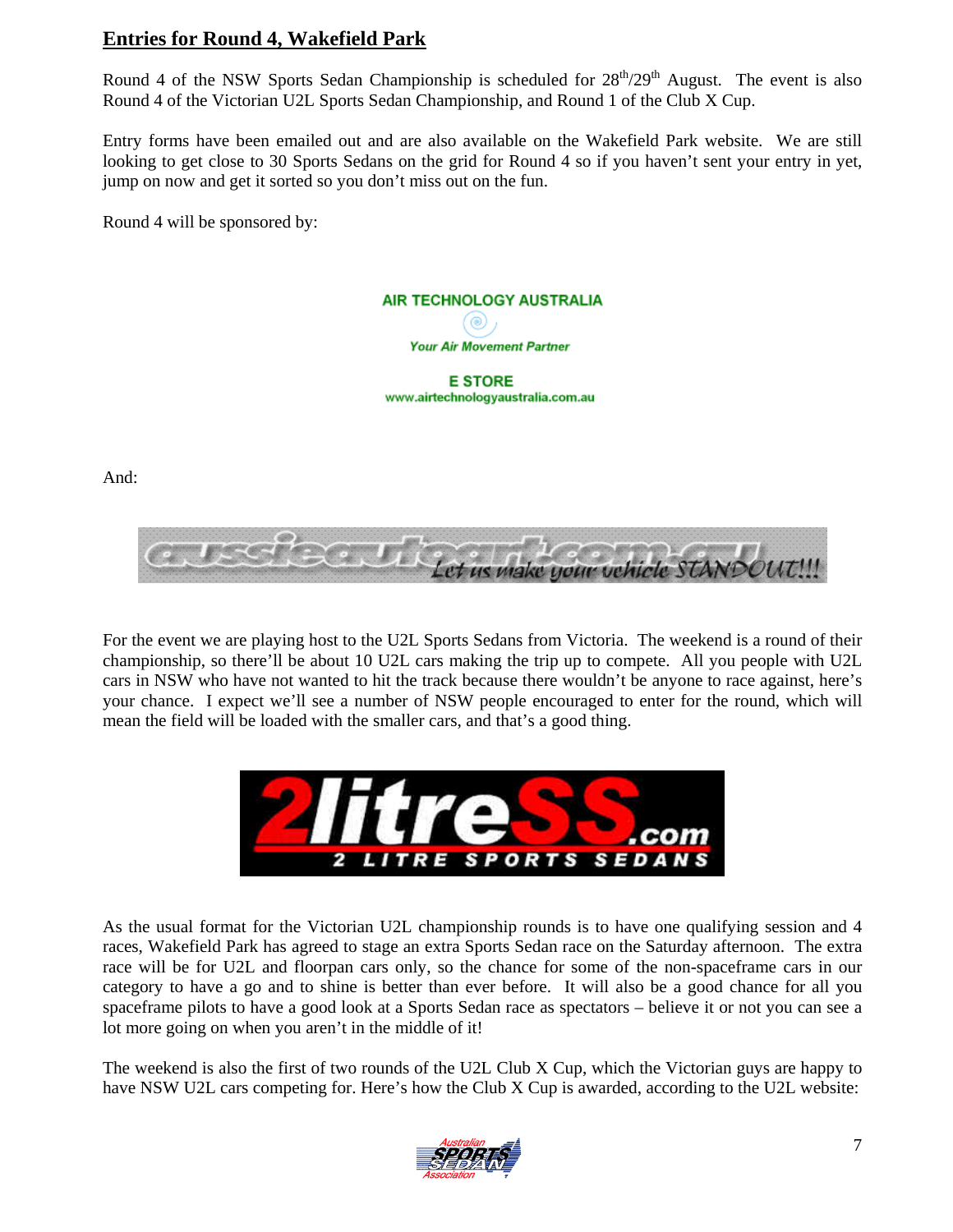#### **Entries for Round 4, Wakefield Park**

Round 4 of the NSW Sports Sedan Championship is scheduled for  $28<sup>th</sup>/29<sup>th</sup>$  August. The event is also Round 4 of the Victorian U2L Sports Sedan Championship, and Round 1 of the Club X Cup.

Entry forms have been emailed out and are also available on the Wakefield Park website. We are still looking to get close to 30 Sports Sedans on the grid for Round 4 so if you haven't sent your entry in yet, jump on now and get it sorted so you don't miss out on the fun.

Round 4 will be sponsored by:



And:



For the event we are playing host to the U2L Sports Sedans from Victoria. The weekend is a round of their championship, so there'll be about 10 U2L cars making the trip up to compete. All you people with U2L cars in NSW who have not wanted to hit the track because there wouldn't be anyone to race against, here's your chance. I expect we'll see a number of NSW people encouraged to enter for the round, which will mean the field will be loaded with the smaller cars, and that's a good thing.



As the usual format for the Victorian U2L championship rounds is to have one qualifying session and 4 races, Wakefield Park has agreed to stage an extra Sports Sedan race on the Saturday afternoon. The extra race will be for U2L and floorpan cars only, so the chance for some of the non-spaceframe cars in our category to have a go and to shine is better than ever before. It will also be a good chance for all you spaceframe pilots to have a good look at a Sports Sedan race as spectators – believe it or not you can see a lot more going on when you aren't in the middle of it!

The weekend is also the first of two rounds of the U2L Club X Cup, which the Victorian guys are happy to have NSW U2L cars competing for. Here's how the Club X Cup is awarded, according to the U2L website:

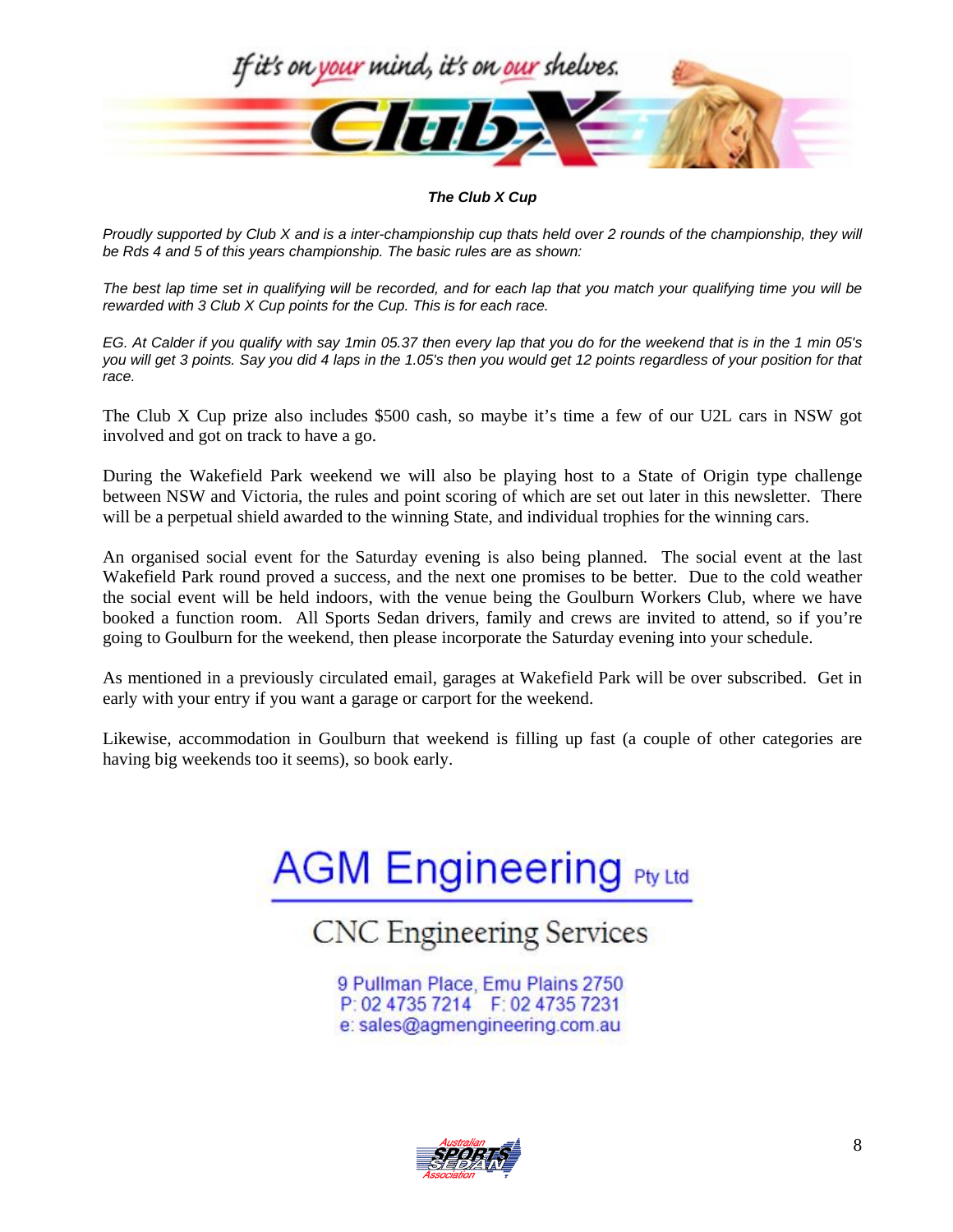

*The Club X Cup* 

*Proudly supported by Club X and is a inter-championship cup thats held over 2 rounds of the championship, they will be Rds 4 and 5 of this years championship. The basic rules are as shown:* 

*The best lap time set in qualifying will be recorded, and for each lap that you match your qualifying time you will be rewarded with 3 Club X Cup points for the Cup. This is for each race.* 

*EG. At Calder if you qualify with say 1min 05.37 then every lap that you do for the weekend that is in the 1 min 05's you will get 3 points. Say you did 4 laps in the 1.05's then you would get 12 points regardless of your position for that race.*

The Club X Cup prize also includes \$500 cash, so maybe it's time a few of our U2L cars in NSW got involved and got on track to have a go.

During the Wakefield Park weekend we will also be playing host to a State of Origin type challenge between NSW and Victoria, the rules and point scoring of which are set out later in this newsletter. There will be a perpetual shield awarded to the winning State, and individual trophies for the winning cars.

An organised social event for the Saturday evening is also being planned. The social event at the last Wakefield Park round proved a success, and the next one promises to be better. Due to the cold weather the social event will be held indoors, with the venue being the Goulburn Workers Club, where we have booked a function room. All Sports Sedan drivers, family and crews are invited to attend, so if you're going to Goulburn for the weekend, then please incorporate the Saturday evening into your schedule.

As mentioned in a previously circulated email, garages at Wakefield Park will be over subscribed. Get in early with your entry if you want a garage or carport for the weekend.

Likewise, accommodation in Goulburn that weekend is filling up fast (a couple of other categories are having big weekends too it seems), so book early.

# **AGM Engineering Pty Ltd**

# **CNC** Engineering Services

9 Pullman Place, Emu Plains 2750 P: 02 4735 7214 F: 02 4735 7231 e: sales@agmengineering.com.au

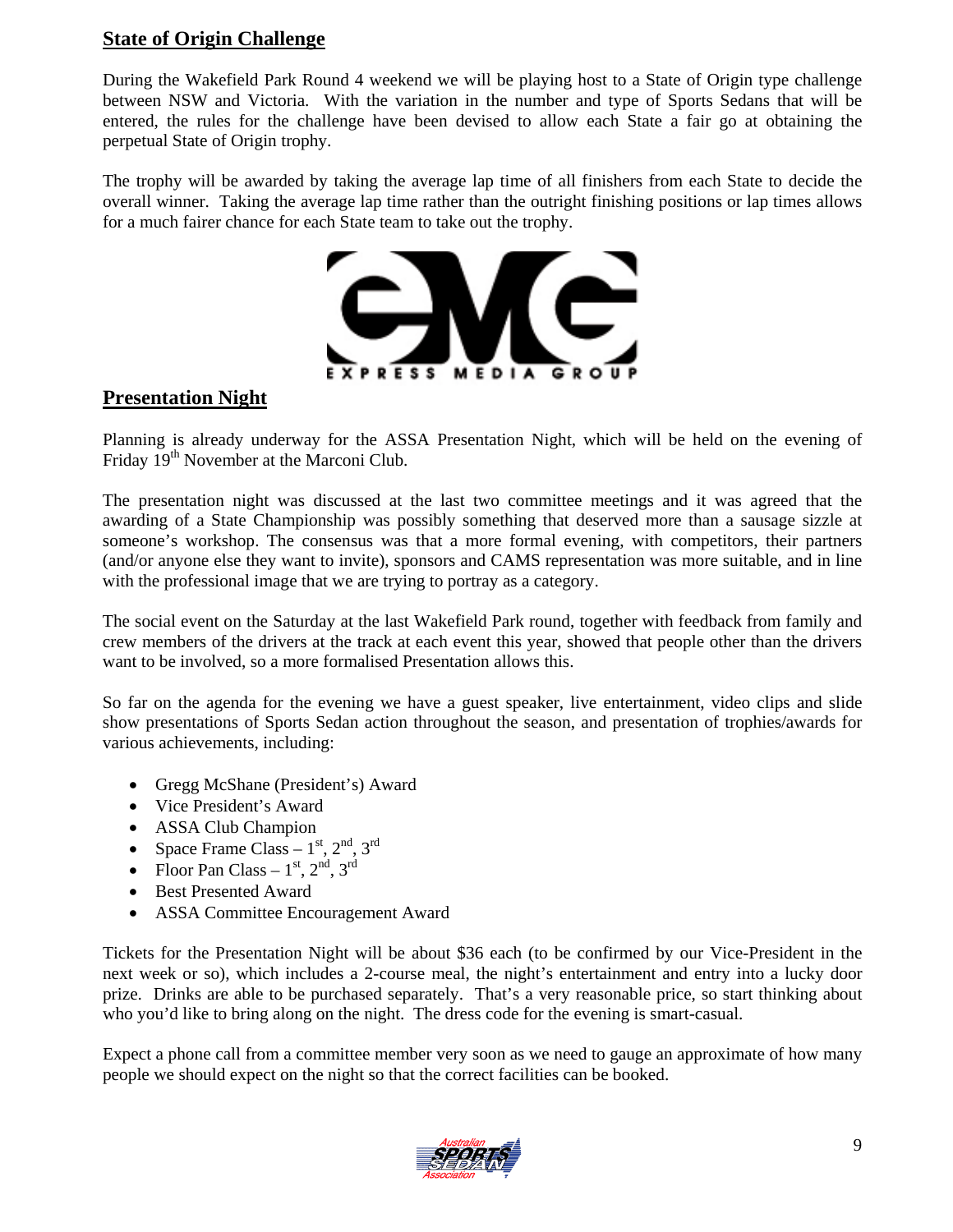#### **State of Origin Challenge**

During the Wakefield Park Round 4 weekend we will be playing host to a State of Origin type challenge between NSW and Victoria. With the variation in the number and type of Sports Sedans that will be entered, the rules for the challenge have been devised to allow each State a fair go at obtaining the perpetual State of Origin trophy.

The trophy will be awarded by taking the average lap time of all finishers from each State to decide the overall winner. Taking the average lap time rather than the outright finishing positions or lap times allows for a much fairer chance for each State team to take out the trophy.



#### **Presentation Night**

Planning is already underway for the ASSA Presentation Night, which will be held on the evening of Friday 19<sup>th</sup> November at the Marconi Club.

The presentation night was discussed at the last two committee meetings and it was agreed that the awarding of a State Championship was possibly something that deserved more than a sausage sizzle at someone's workshop. The consensus was that a more formal evening, with competitors, their partners (and/or anyone else they want to invite), sponsors and CAMS representation was more suitable, and in line with the professional image that we are trying to portray as a category.

The social event on the Saturday at the last Wakefield Park round, together with feedback from family and crew members of the drivers at the track at each event this year, showed that people other than the drivers want to be involved, so a more formalised Presentation allows this.

So far on the agenda for the evening we have a guest speaker, live entertainment, video clips and slide show presentations of Sports Sedan action throughout the season, and presentation of trophies/awards for various achievements, including:

- Gregg McShane (President's) Award
- Vice President's Award
- ASSA Club Champion
- Space Frame Class  $1<sup>st</sup>$ ,  $2<sup>nd</sup>$ ,  $3<sup>rd</sup>$
- Floor Pan Class  $1<sup>st</sup>$ ,  $2<sup>nd</sup>$ ,  $3<sup>rd</sup>$
- Best Presented Award
- ASSA Committee Encouragement Award

Tickets for the Presentation Night will be about \$36 each (to be confirmed by our Vice-President in the next week or so), which includes a 2-course meal, the night's entertainment and entry into a lucky door prize. Drinks are able to be purchased separately. That's a very reasonable price, so start thinking about who you'd like to bring along on the night. The dress code for the evening is smart-casual.

Expect a phone call from a committee member very soon as we need to gauge an approximate of how many people we should expect on the night so that the correct facilities can be booked.

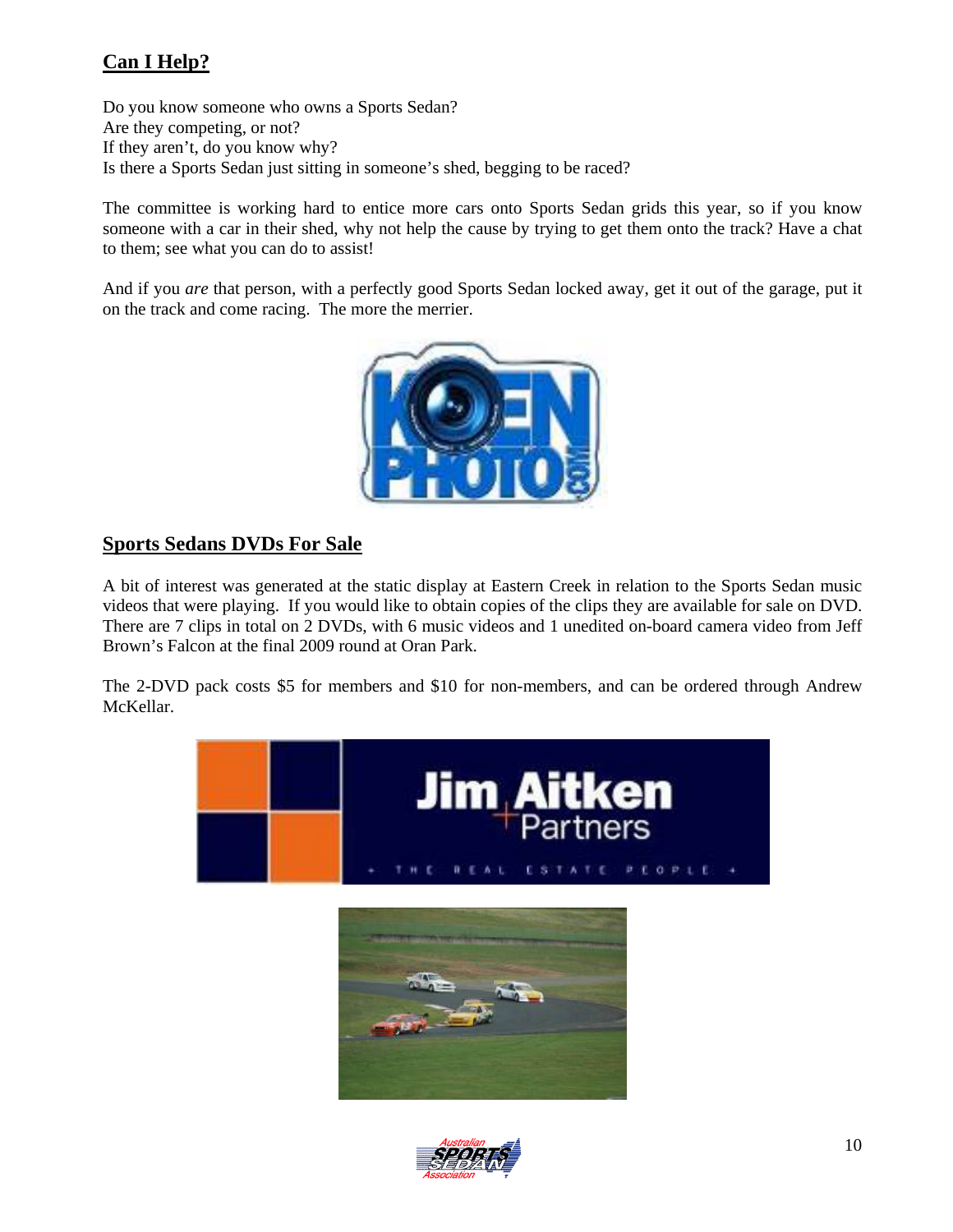# **Can I Help?**

Do you know someone who owns a Sports Sedan? Are they competing, or not? If they aren't, do you know why? Is there a Sports Sedan just sitting in someone's shed, begging to be raced?

The committee is working hard to entice more cars onto Sports Sedan grids this year, so if you know someone with a car in their shed, why not help the cause by trying to get them onto the track? Have a chat to them; see what you can do to assist!

And if you *are* that person, with a perfectly good Sports Sedan locked away, get it out of the garage, put it on the track and come racing. The more the merrier.



#### **Sports Sedans DVDs For Sale**

A bit of interest was generated at the static display at Eastern Creek in relation to the Sports Sedan music videos that were playing. If you would like to obtain copies of the clips they are available for sale on DVD. There are 7 clips in total on 2 DVDs, with 6 music videos and 1 unedited on-board camera video from Jeff Brown's Falcon at the final 2009 round at Oran Park.

The 2-DVD pack costs \$5 for members and \$10 for non-members, and can be ordered through Andrew McKellar.



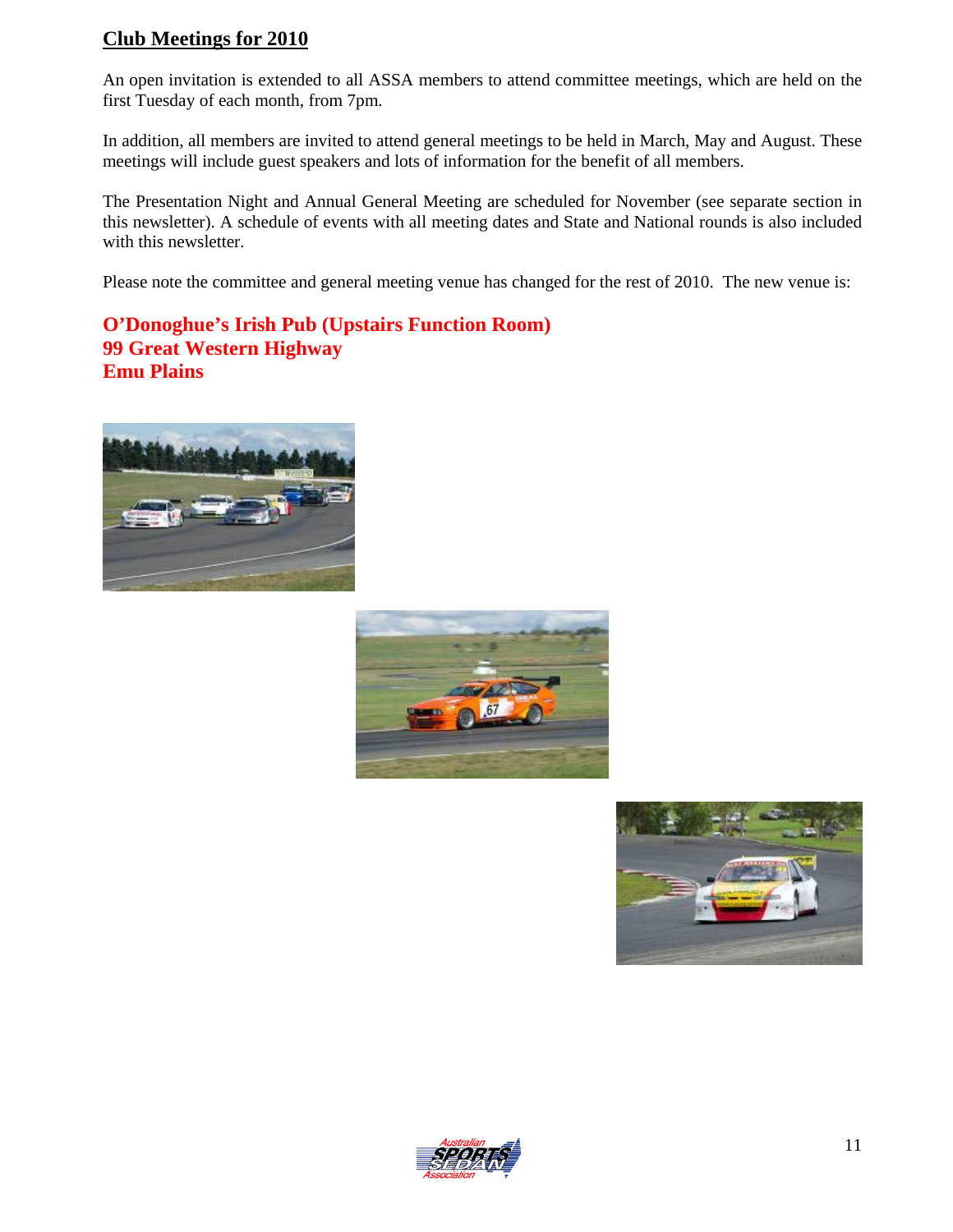### **Club Meetings for 2010**

An open invitation is extended to all ASSA members to attend committee meetings, which are held on the first Tuesday of each month, from 7pm.

In addition, all members are invited to attend general meetings to be held in March, May and August. These meetings will include guest speakers and lots of information for the benefit of all members.

The Presentation Night and Annual General Meeting are scheduled for November (see separate section in this newsletter). A schedule of events with all meeting dates and State and National rounds is also included with this newsletter.

Please note the committee and general meeting venue has changed for the rest of 2010. The new venue is:

**O'Donoghue's Irish Pub (Upstairs Function Room) 99 Great Western Highway Emu Plains**







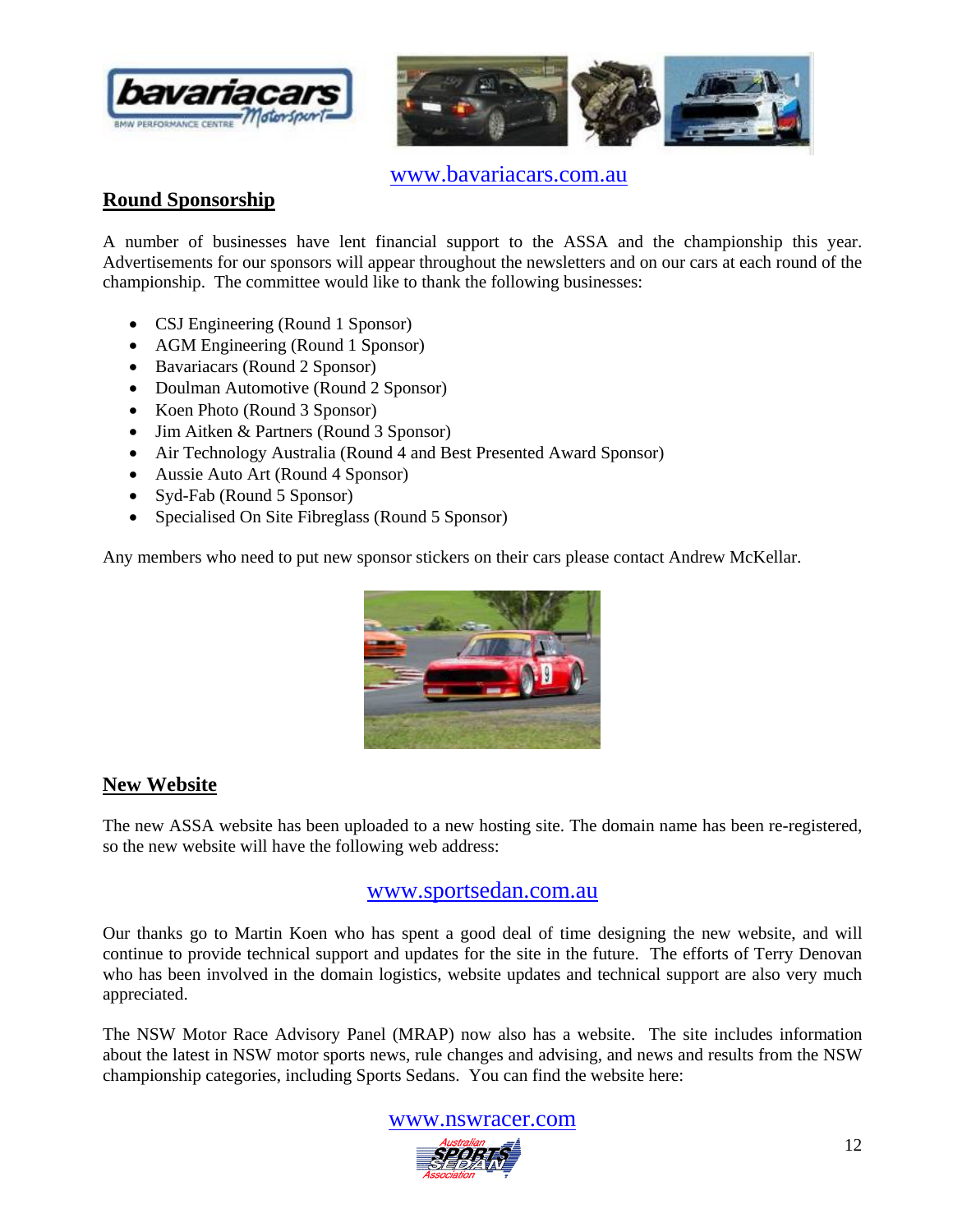



www.bavariacars.com.au

#### **Round Sponsorship**

A number of businesses have lent financial support to the ASSA and the championship this year. Advertisements for our sponsors will appear throughout the newsletters and on our cars at each round of the championship. The committee would like to thank the following businesses:

- CSJ Engineering (Round 1 Sponsor)
- AGM Engineering (Round 1 Sponsor)
- Bavariacars (Round 2 Sponsor)
- Doulman Automotive (Round 2 Sponsor)
- Koen Photo (Round 3 Sponsor)
- Jim Aitken & Partners (Round 3 Sponsor)
- Air Technology Australia (Round 4 and Best Presented Award Sponsor)
- Aussie Auto Art (Round 4 Sponsor)
- Syd-Fab (Round 5 Sponsor)
- Specialised On Site Fibreglass (Round 5 Sponsor)

Any members who need to put new sponsor stickers on their cars please contact Andrew McKellar.



#### **New Website**

The new ASSA website has been uploaded to a new hosting site. The domain name has been re-registered, so the new website will have the following web address:

#### www.sportsedan.com.au

Our thanks go to Martin Koen who has spent a good deal of time designing the new website, and will continue to provide technical support and updates for the site in the future. The efforts of Terry Denovan who has been involved in the domain logistics, website updates and technical support are also very much appreciated.

The NSW Motor Race Advisory Panel (MRAP) now also has a website. The site includes information about the latest in NSW motor sports news, rule changes and advising, and news and results from the NSW championship categories, including Sports Sedans. You can find the website here:

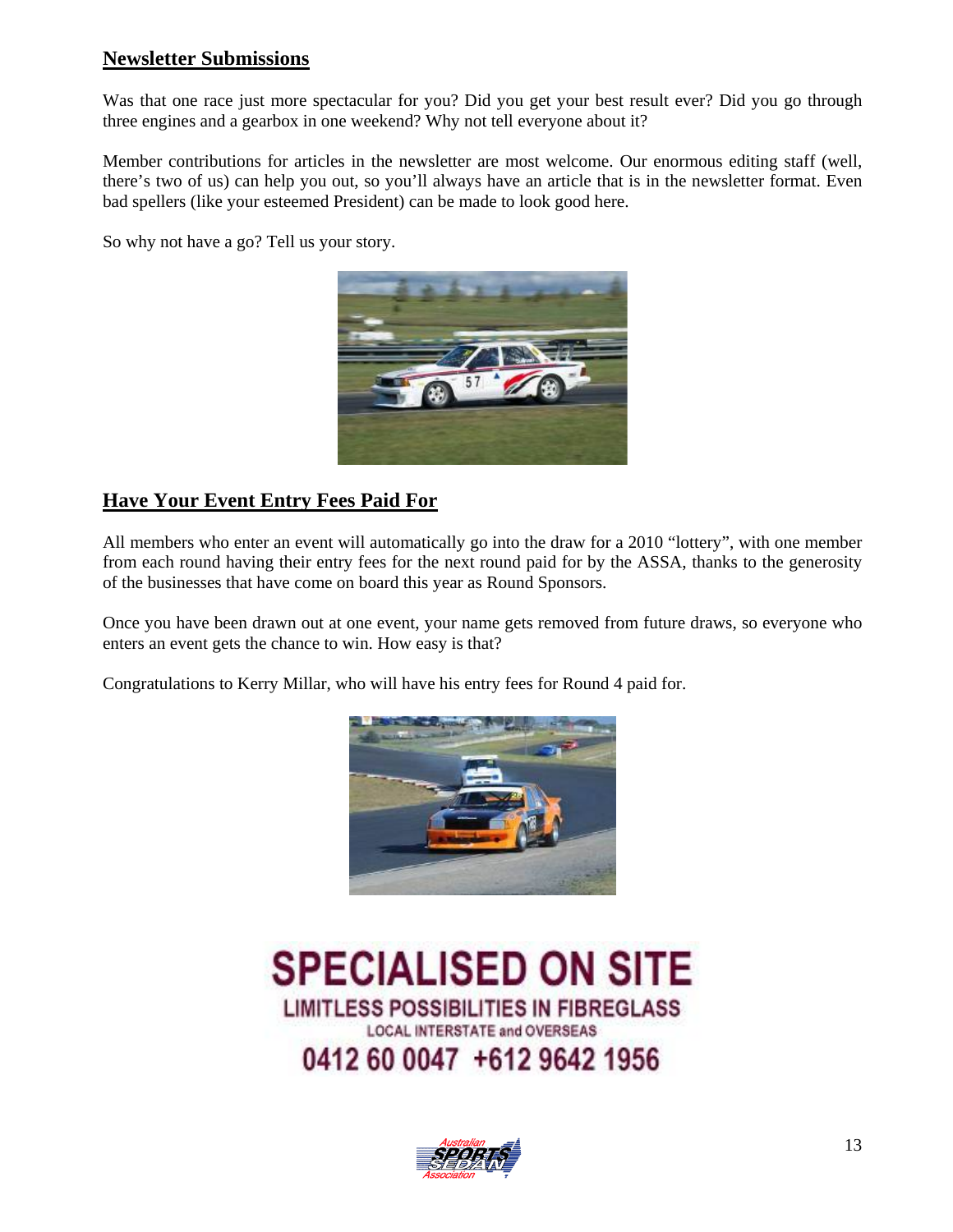#### **Newsletter Submissions**

Was that one race just more spectacular for you? Did you get your best result ever? Did you go through three engines and a gearbox in one weekend? Why not tell everyone about it?

Member contributions for articles in the newsletter are most welcome. Our enormous editing staff (well, there's two of us) can help you out, so you'll always have an article that is in the newsletter format. Even bad spellers (like your esteemed President) can be made to look good here.

So why not have a go? Tell us your story.



# **Have Your Event Entry Fees Paid For**

All members who enter an event will automatically go into the draw for a 2010 "lottery", with one member from each round having their entry fees for the next round paid for by the ASSA, thanks to the generosity of the businesses that have come on board this year as Round Sponsors.

Once you have been drawn out at one event, your name gets removed from future draws, so everyone who enters an event gets the chance to win. How easy is that?

Congratulations to Kerry Millar, who will have his entry fees for Round 4 paid for.



**SPECIALISED ON SITE LIMITLESS POSSIBILITIES IN FIBREGLASS LOCAL INTERSTATE and OVERSEAS** 0412 60 0047 +612 9642 1956

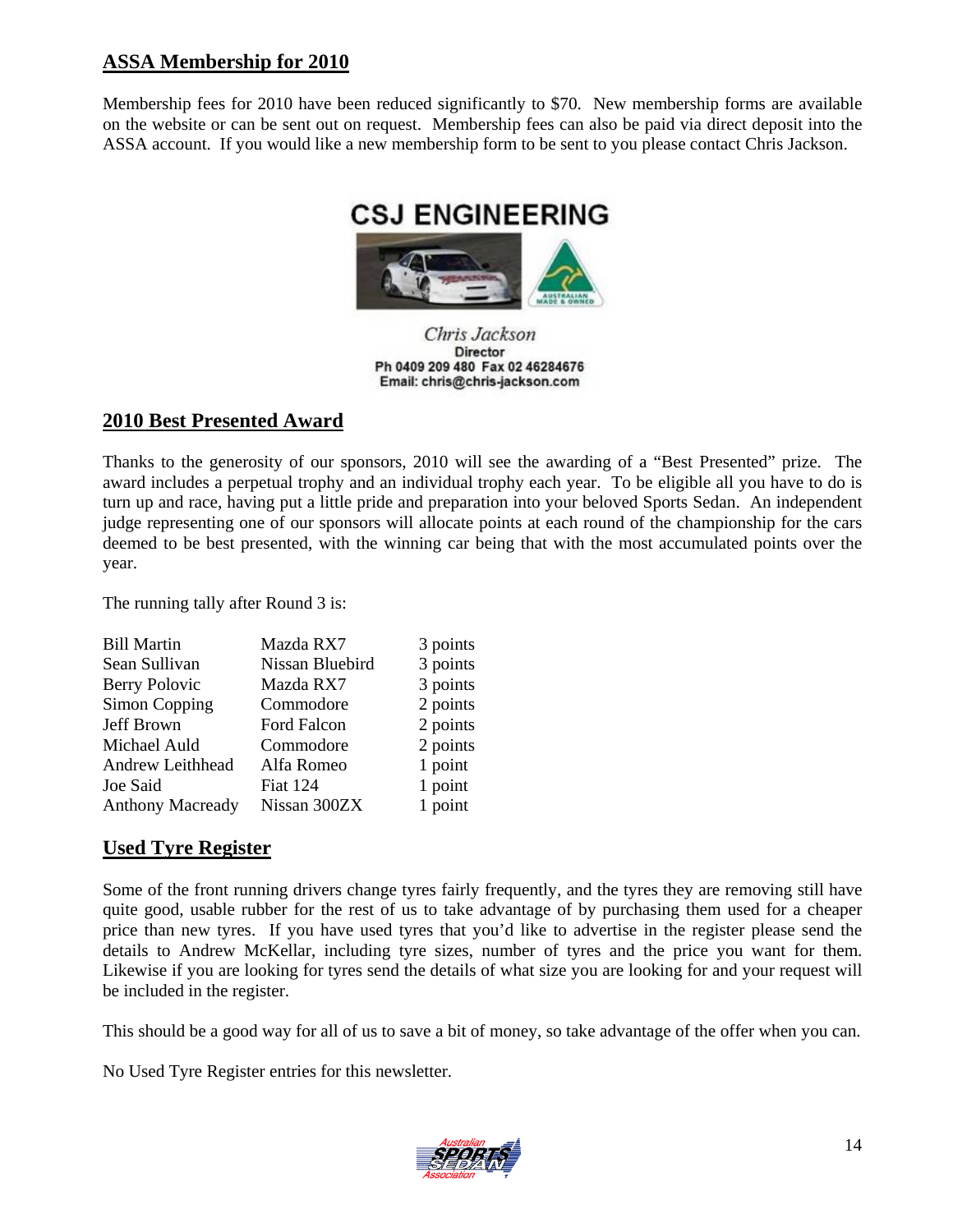#### **ASSA Membership for 2010**

Membership fees for 2010 have been reduced significantly to \$70. New membership forms are available on the website or can be sent out on request. Membership fees can also be paid via direct deposit into the ASSA account. If you would like a new membership form to be sent to you please contact Chris Jackson.



Chris Jackson Director Ph 0409 209 480 Fax 02 46284676 Email: chris@chris-jackson.com

#### **2010 Best Presented Award**

Thanks to the generosity of our sponsors, 2010 will see the awarding of a "Best Presented" prize. The award includes a perpetual trophy and an individual trophy each year. To be eligible all you have to do is turn up and race, having put a little pride and preparation into your beloved Sports Sedan. An independent judge representing one of our sponsors will allocate points at each round of the championship for the cars deemed to be best presented, with the winning car being that with the most accumulated points over the year.

The running tally after Round 3 is:

| Mazda RX7       | 3 points |
|-----------------|----------|
| Nissan Bluebird | 3 points |
| Mazda RX7       | 3 points |
| Commodore       | 2 points |
| Ford Falcon     | 2 points |
| Commodore       | 2 points |
| Alfa Romeo      | 1 point  |
| <b>Fiat 124</b> | 1 point  |
| Nissan 300ZX    | 1 point  |
|                 |          |

#### **Used Tyre Register**

Some of the front running drivers change tyres fairly frequently, and the tyres they are removing still have quite good, usable rubber for the rest of us to take advantage of by purchasing them used for a cheaper price than new tyres. If you have used tyres that you'd like to advertise in the register please send the details to Andrew McKellar, including tyre sizes, number of tyres and the price you want for them. Likewise if you are looking for tyres send the details of what size you are looking for and your request will be included in the register.

This should be a good way for all of us to save a bit of money, so take advantage of the offer when you can.

No Used Tyre Register entries for this newsletter.

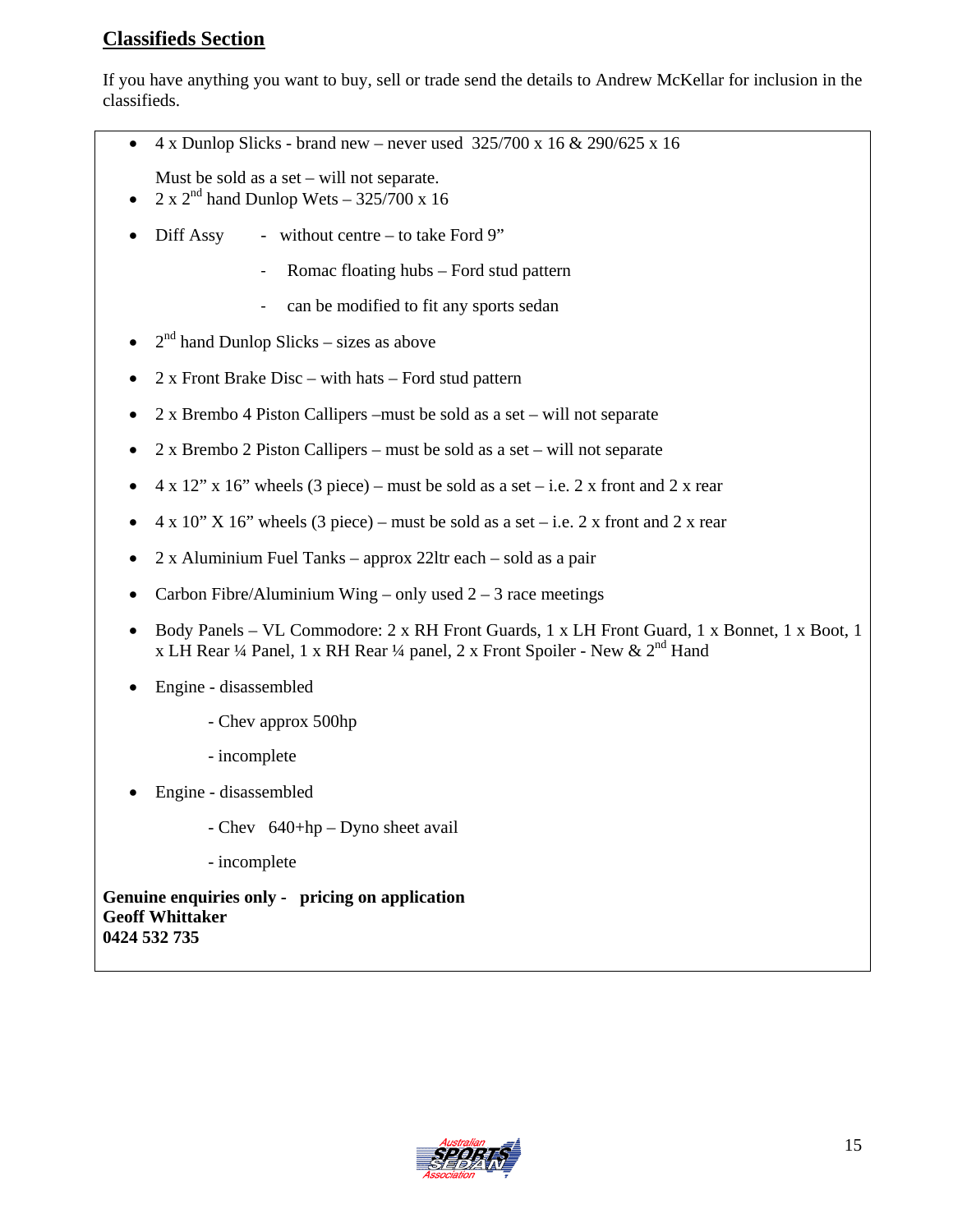## **Classifieds Section**

If you have anything you want to buy, sell or trade send the details to Andrew McKellar for inclusion in the classifieds.

- 4 x Dunlop Slicks brand new never used  $325/700 \times 16 \& 290/625 \times 16$
- Must be sold as a set will not separate.
- $2 \times 2^{nd}$  hand Dunlop Wets 325/700 x 16
- Diff Assy without centre to take Ford 9"
	- ‐ Romac floating hubs Ford stud pattern
	- ‐ can be modified to fit any sports sedan
- $2<sup>nd</sup>$  hand Dunlop Slicks sizes as above
- 2 x Front Brake Disc with hats Ford stud pattern
- 2 x Brembo 4 Piston Callipers –must be sold as a set will not separate
- 2 x Brembo 2 Piston Callipers must be sold as a set will not separate
- $4 \times 12$ " x 16" wheels (3 piece) must be sold as a set i.e. 2 x front and 2 x rear
- $4 \times 10$ " X 16" wheels (3 piece) must be sold as a set i.e. 2 x front and 2 x rear
- 2 x Aluminium Fuel Tanks approx 22ltr each sold as a pair
- Carbon Fibre/Aluminium Wing only used  $2 3$  race meetings
- Body Panels VL Commodore: 2 x RH Front Guards, 1 x LH Front Guard, 1 x Bonnet, 1 x Boot, 1 x LH Rear <sup>1</sup>/4 Panel, 1 x RH Rear <sup>1</sup>/4 panel, 2 x Front Spoiler - New &  $2<sup>nd</sup>$  Hand
- Engine disassembled
	- Chev approx 500hp
	- incomplete
- Engine disassembled
	- Chev 640+hp Dyno sheet avail
	- incomplete

**Genuine enquiries only - pricing on application Geoff Whittaker 0424 532 735**